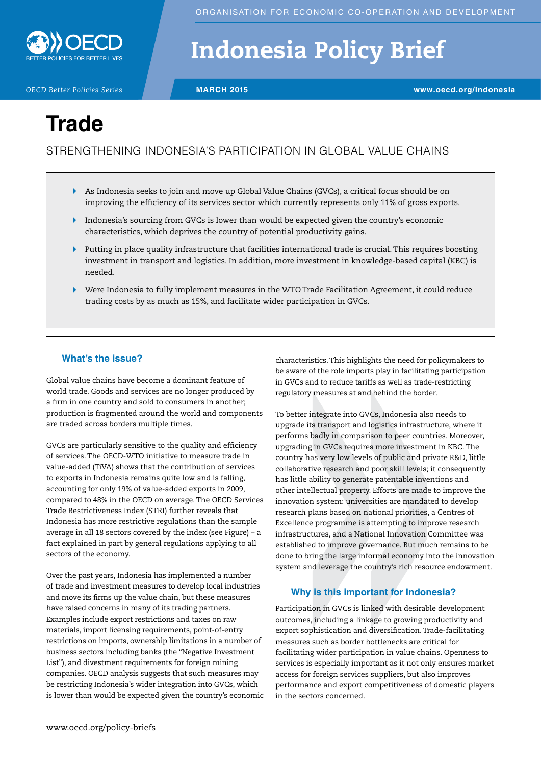

# Indonesia Policy Brief

*OECD Better Policies Series* **MARCH 2015 www.oecd.org/indonesia**

## **Trade**

### STRENGTHENING INDONESIA'S PARTICIPATION IN GLOBAL VALUE CHAINS

- As Indonesia seeks to join and move up Global Value Chains (GVCs), a critical focus should be on improving the efficiency of its services sector which currently represents only 11% of gross exports.
- Indonesia's sourcing from GVCs is lower than would be expected given the country's economic characteristics, which deprives the country of potential productivity gains.
- Putting in place quality infrastructure that facilities international trade is crucial. This requires boosting investment in transport and logistics. In addition, more investment in knowledge-based capital (KBC) is needed.
- Were Indonesia to fully implement measures in the WTO Trade Facilitation Agreement, it could reduce trading costs by as much as 15%, and facilitate wider participation in GVCs.

#### **What's the issue?**

Global value chains have become a dominant feature of world trade. Goods and services are no longer produced by a firm in one country and sold to consumers in another; production is fragmented around the world and components are traded across borders multiple times.

GVCs are particularly sensitive to the quality and efficiency of services. The OECD-WTO initiative to measure trade in value-added (TiVA) shows that the contribution of services to exports in Indonesia remains quite low and is falling, accounting for only 19% of value-added exports in 2009, compared to 48% in the OECD on average. The OECD Services Trade Restrictiveness Index (STRI) further reveals that Indonesia has more restrictive regulations than the sample average in all 18 sectors covered by the index (see Figure) – a fact explained in part by general regulations applying to all sectors of the economy.

Over the past years, Indonesia has implemented a number of trade and investment measures to develop local industries and move its firms up the value chain, but these measures have raised concerns in many of its trading partners. Examples include export restrictions and taxes on raw materials, import licensing requirements, point-of-entry restrictions on imports, ownership limitations in a number of business sectors including banks (the "Negative Investment List"), and divestment requirements for foreign mining companies. OECD analysis suggests that such measures may be restricting Indonesia's wider integration into GVCs, which is lower than would be expected given the country's economic characteristics. This highlights the need for policymakers to be aware of the role imports play in facilitating participation in GVCs and to reduce tariffs as well as trade-restricting regulatory measures at and behind the border.

To better integrate into GVCs, Indonesia also needs to upgrade its transport and logistics infrastructure, where it performs badly in comparison to peer countries. Moreover, upgrading in GVCs requires more investment in KBC. The country has very low levels of public and private R&D, little collaborative research and poor skill levels; it consequently has little ability to generate patentable inventions and other intellectual property. Efforts are made to improve the innovation system: universities are mandated to develop research plans based on national priorities, a Centres of Excellence programme is attempting to improve research infrastructures, and a National Innovation Committee was established to improve governance. But much remains to be done to bring the large informal economy into the innovation system and leverage the country's rich resource endowment.

#### **Why is this important for Indonesia?**

Participation in GVCs is linked with desirable development outcomes, including a linkage to growing productivity and export sophistication and diversification. Trade-facilitating measures such as border bottlenecks are critical for facilitating wider participation in value chains. Openness to services is especially important as it not only ensures market access for foreign services suppliers, but also improves performance and export competitiveness of domestic players in the sectors concerned.